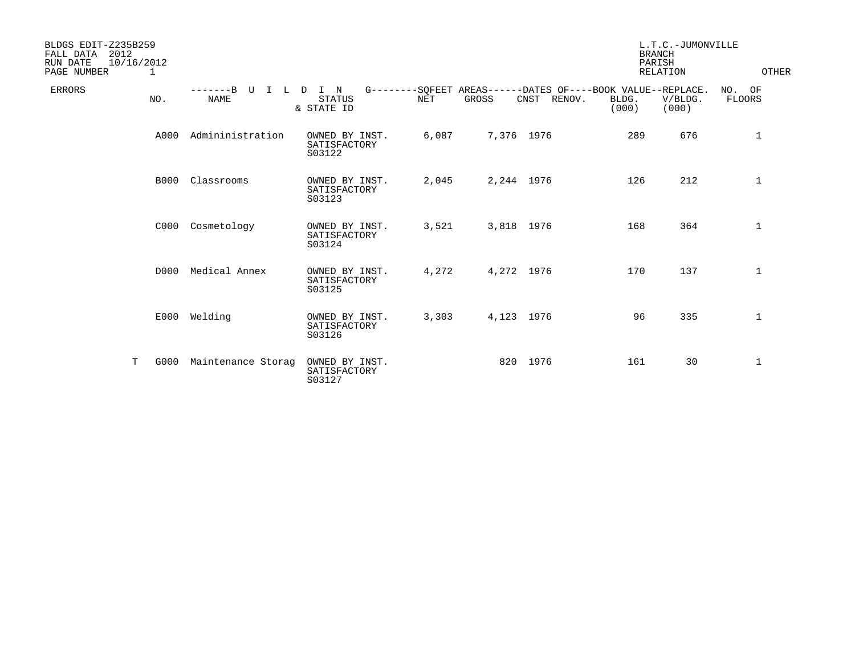| BLDGS EDIT-Z235B259<br>FALL DATA<br>2012<br>10/16/2012<br>RUN DATE<br>PAGE NUMBER<br>1 |                                     |                                          |            |            |                | <b>BRANCH</b><br>PARISH                                                       | L.T.C.-JUMONVILLE<br>RELATION | OTHER                   |
|----------------------------------------------------------------------------------------|-------------------------------------|------------------------------------------|------------|------------|----------------|-------------------------------------------------------------------------------|-------------------------------|-------------------------|
| <b>ERRORS</b><br>NO.                                                                   | -------B U I L D I N<br><b>NAME</b> | <b>STATUS</b><br>& STATE ID              | <b>NET</b> | GROSS      | CNST<br>RENOV. | G--------SOFEET AREAS------DATES OF----BOOK VALUE--REPLACE.<br>BLDG.<br>(000) | V/BLDG.<br>(000)              | NO. OF<br><b>FLOORS</b> |
| A000                                                                                   | Admininistration                    | OWNED BY INST.<br>SATISFACTORY<br>S03122 | 6,087      | 7,376 1976 |                | 289                                                                           | 676                           | $\mathbf{1}$            |
| B000                                                                                   | Classrooms                          | OWNED BY INST.<br>SATISFACTORY<br>S03123 | 2,045      | 2,244 1976 |                | 126                                                                           | 212                           | $\mathbf 1$             |
| C000                                                                                   | Cosmetology                         | OWNED BY INST.<br>SATISFACTORY<br>S03124 | 3,521      | 3,818 1976 |                | 168                                                                           | 364                           | 1                       |
| D000                                                                                   | Medical Annex                       | OWNED BY INST.<br>SATISFACTORY<br>S03125 | 4,272      | 4,272 1976 |                | 170                                                                           | 137                           | $\mathbf 1$             |
| E000                                                                                   | Welding                             | OWNED BY INST.<br>SATISFACTORY<br>S03126 | 3,303      | 4,123 1976 |                | 96                                                                            | 335                           | $\mathbf 1$             |
| T<br>G000                                                                              | Maintenance Storag                  | OWNED BY INST.<br>SATISFACTORY<br>S03127 |            |            | 820 1976       | 161                                                                           | 30                            | 1                       |